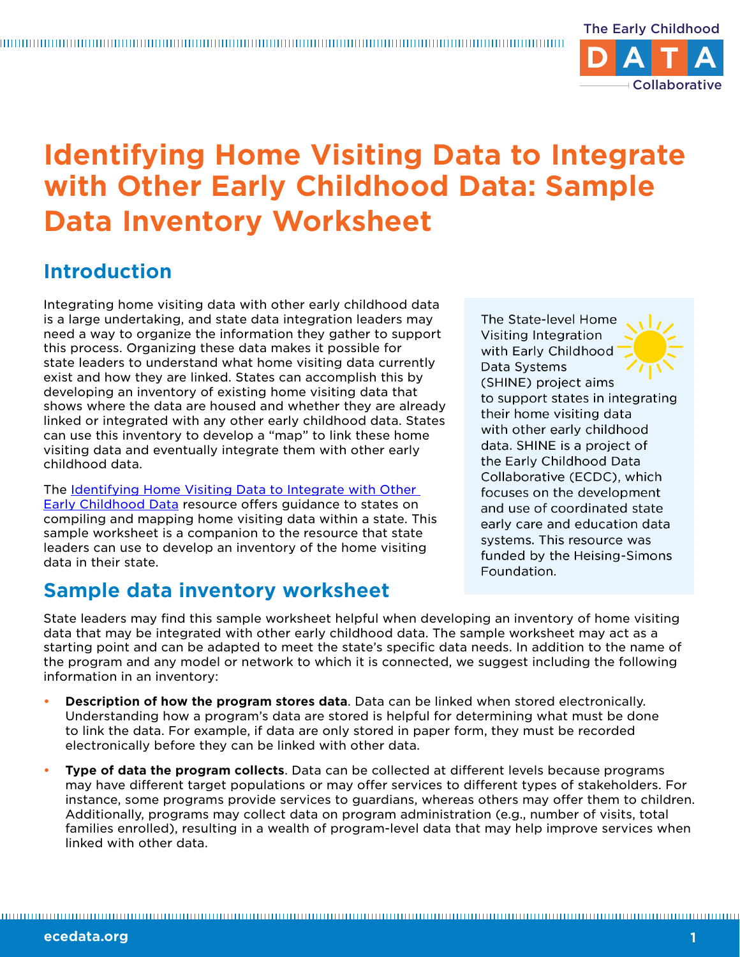

## **Identifying Home Visiting Data to Integrate with Other Early Childhood Data: Sample Data Inventory Worksheet**

## **Introduction**

Integrating home visiting data with other early childhood data is a large undertaking, and state data integration leaders may need a way to organize the information they gather to support this process. Organizing these data makes it possible for state leaders to understand what home visiting data currently exist and how they are linked. States can accomplish this by developing an inventory of existing home visiting data that shows where the data are housed and whether they are already linked or integrated with any other early childhood data. States can use this inventory to develop a "map" to link these home visiting data and eventually integrate them with other early childhood data.

The [Identifying Home Visiting Data to Integrate with Other](https://www.childtrends.org/publications/identifying-home-visiting-data-to-integrate-with-other-early-childhood-data)  [Early Childhood Data](https://www.childtrends.org/publications/identifying-home-visiting-data-to-integrate-with-other-early-childhood-data) resource offers guidance to states on compiling and mapping home visiting data within a state. This sample worksheet is a companion to the resource that state leaders can use to develop an inventory of the home visiting data in their state.

## **Sample data inventory worksheet**

The State-level Home Visiting Integration with Early Childhood Data Systems (SHINE) project aims to support states in integrating their home visiting data with other early childhood data. SHINE is a project of the Early Childhood Data Collaborative (ECDC), which focuses on the development and use of coordinated state early care and education data systems. This resource was funded by the Heising-Simons Foundation.

State leaders may find this sample worksheet helpful when developing an inventory of home visiting data that may be integrated with other early childhood data. The sample worksheet may act as a starting point and can be adapted to meet the state's specific data needs. In addition to the name of the program and any model or network to which it is connected, we suggest including the following information in an inventory:

- **Description of how the program stores data**. Data can be linked when stored electronically. Understanding how a program's data are stored is helpful for determining what must be done to link the data. For example, if data are only stored in paper form, they must be recorded electronically before they can be linked with other data.
- **Type of data the program collects**. Data can be collected at different levels because programs may have different target populations or may offer services to different types of stakeholders. For instance, some programs provide services to guardians, whereas others may offer them to children. Additionally, programs may collect data on program administration (e.g., number of visits, total families enrolled), resulting in a wealth of program-level data that may help improve services when linked with other data.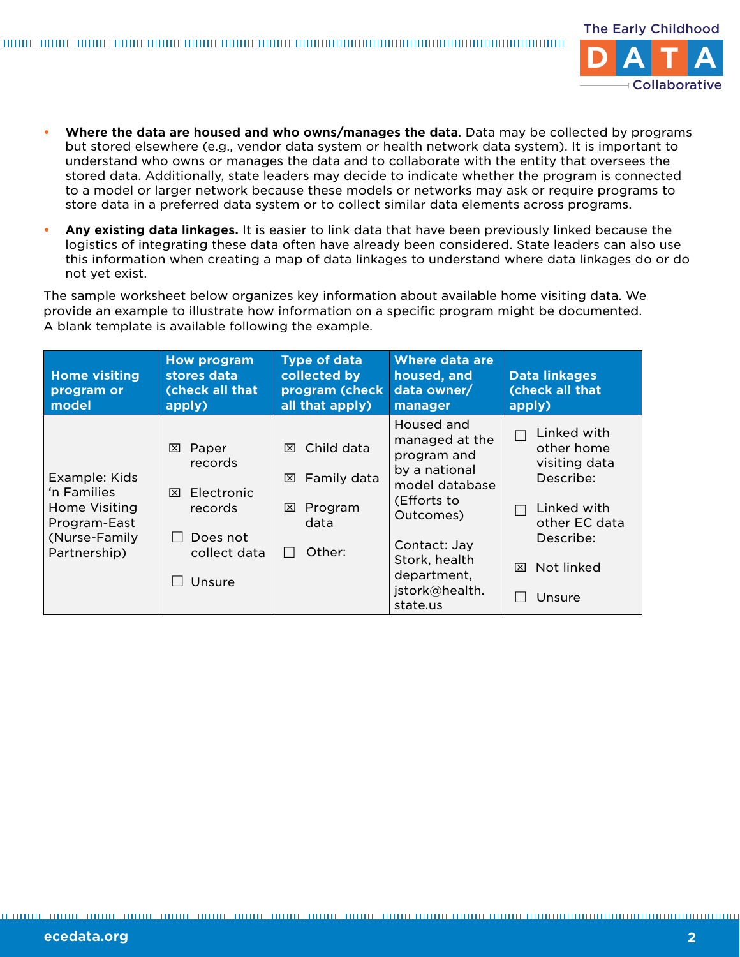

- **• Where the data are housed and who owns/manages the data**. Data may be collected by programs but stored elsewhere (e.g., vendor data system or health network data system). It is important to understand who owns or manages the data and to collaborate with the entity that oversees the stored data. Additionally, state leaders may decide to indicate whether the program is connected to a model or larger network because these models or networks may ask or require programs to store data in a preferred data system or to collect similar data elements across programs.
- **• Any existing data linkages.** It is easier to link data that have been previously linked because the logistics of integrating these data often have already been considered. State leaders can also use this information when creating a map of data linkages to understand where data linkages do or do not yet exist.

The sample worksheet below organizes key information about available home visiting data. We provide an example to illustrate how information on a specific program might be documented. A blank template is available following the example.

| <b>Home visiting</b><br>program or<br>model                                                    | <b>How program</b><br>stores data<br>(check all that<br>apply)                            | <b>Type of data</b><br>collected by<br>program (check<br>all that apply)              | <b>Where data are</b><br>housed, and<br>data owner/<br>manager                                                                                                                           | <b>Data linkages</b><br>(check all that<br>apply)                                                                                 |
|------------------------------------------------------------------------------------------------|-------------------------------------------------------------------------------------------|---------------------------------------------------------------------------------------|------------------------------------------------------------------------------------------------------------------------------------------------------------------------------------------|-----------------------------------------------------------------------------------------------------------------------------------|
| Example: Kids<br>'n Families<br>Home Visiting<br>Program-East<br>(Nurse-Family<br>Partnership) | Paper<br>⊠<br>records<br>Electronic<br>⊠<br>records<br>Does not<br>collect data<br>Unsure | Child data<br>冈<br>Family data<br>⊠<br>Program<br>⊠<br>data<br>Other:<br>$\mathbf{L}$ | Housed and<br>managed at the<br>program and<br>by a national<br>model database<br>(Efforts to<br>Outcomes)<br>Contact: Jay<br>Stork, health<br>department,<br>jstork@health.<br>state.us | Linked with<br>other home<br>visiting data<br>Describe:<br>Linked with<br>other EC data<br>Describe:<br>Not linked<br>⊠<br>Unsure |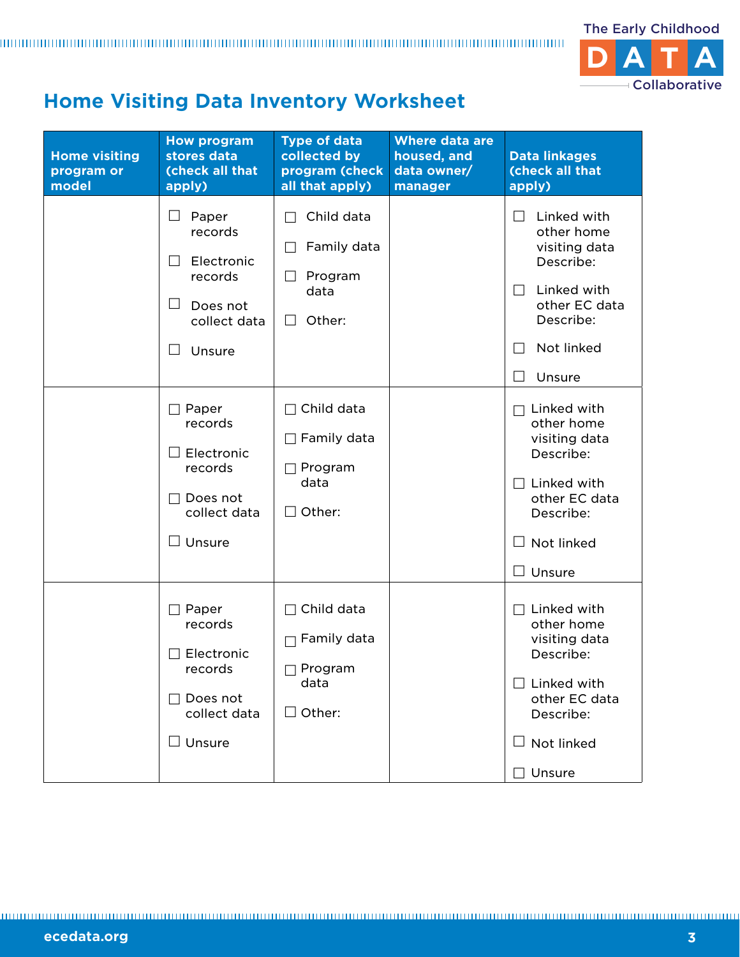

## **Home Visiting Data Inventory Worksheet**

| <b>Home visiting</b><br>program or<br>model | <b>How program</b><br>stores data<br>(check all that<br>apply)                                                       | <b>Type of data</b><br>collected by<br>program (check<br>all that apply)              | <b>Where data are</b><br>housed, and<br>data owner/<br>manager | <b>Data linkages</b><br>(check all that<br>apply)                                                                                                           |
|---------------------------------------------|----------------------------------------------------------------------------------------------------------------------|---------------------------------------------------------------------------------------|----------------------------------------------------------------|-------------------------------------------------------------------------------------------------------------------------------------------------------------|
|                                             | Ш<br>Paper<br>records<br>Electronic<br>records<br>$\mathsf{L}$<br>Does not<br>collect data<br>Unsure<br>$\mathsf{L}$ | Child data<br>Family data<br>Program<br>data<br>Other:<br>$\perp$                     |                                                                | Linked with<br>$\mathsf{L}$<br>other home<br>visiting data<br>Describe:<br>Linked with<br>$\Box$<br>other EC data<br>Describe:<br>Not linked<br>Unsure      |
|                                             | Paper<br>records<br>Electronic<br>records<br>Does not<br>collect data<br>$\square$ Unsure                            | Child data<br>$\Box$<br>$\Box$ Family data<br>$\Box$ Program<br>data<br>$\Box$ Other: |                                                                | Linked with<br>other home<br>visiting data<br>Describe:<br>Linked with<br>$\Box$<br>other EC data<br>Describe:<br>Not linked<br>$\perp$<br>$\Box$<br>Unsure |
|                                             | $\Box$ Paper<br>records<br>Electronic<br>records<br>Does not<br>collect data<br>$\Box$ Unsure                        | Child data<br>Family data<br>⊤ Program<br>data<br>$\Box$ Other:                       |                                                                | Linked with<br>other home<br>visiting data<br>Describe:<br>Linked with<br>other EC data<br>Describe:<br>Not linked<br>Unsure                                |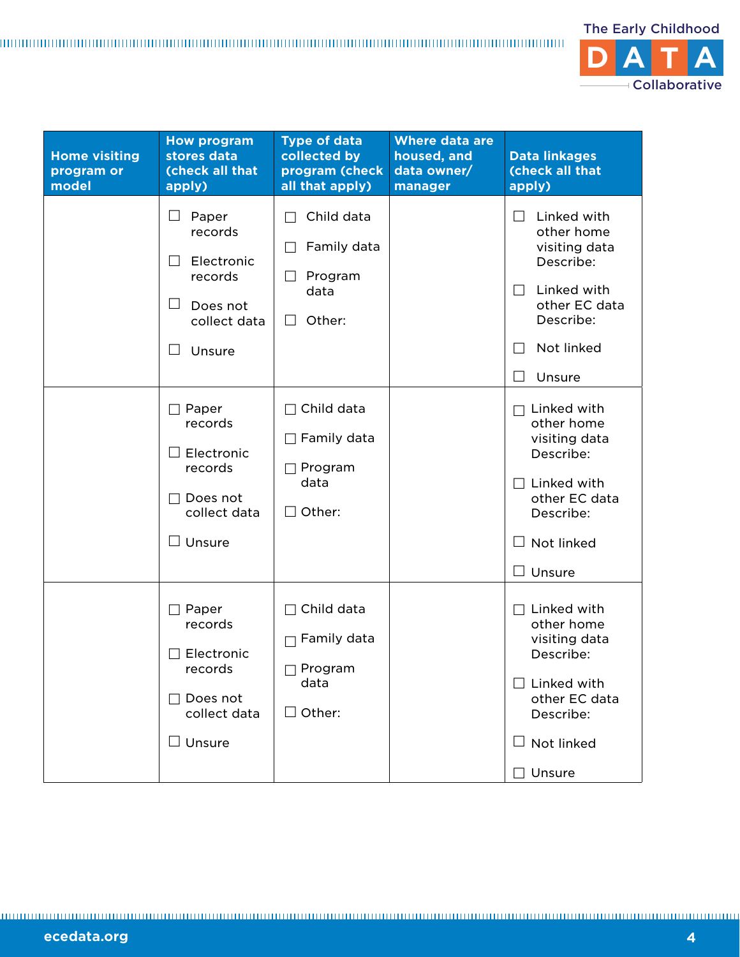

| <b>Home visiting</b><br>program or<br>model | <b>How program</b><br>stores data<br>(check all that<br>apply)                                            | <b>Type of data</b><br>collected by<br>program (check<br>all that apply)                 | <b>Where data are</b><br>housed, and<br>data owner/<br>manager | <b>Data linkages</b><br>(check all that<br>apply)                                                                                                                                          |
|---------------------------------------------|-----------------------------------------------------------------------------------------------------------|------------------------------------------------------------------------------------------|----------------------------------------------------------------|--------------------------------------------------------------------------------------------------------------------------------------------------------------------------------------------|
|                                             | Ш<br>Paper<br>records<br>Electronic<br>$\Box$<br>records<br>ш<br>Does not<br>collect data<br>Unsure<br>ΙI | Child data<br>Family data<br>Program<br>$\Box$<br>data<br>Other:<br>$\Box$               |                                                                | Linked with<br>$\Box$<br>other home<br>visiting data<br>Describe:<br>Linked with<br>$\Box$<br>other EC data<br>Describe:<br>Not linked<br>$\vert \ \ \vert$<br>Unsure<br>$\vert \ \ \vert$ |
|                                             | $\Box$ Paper<br>records<br>Electronic<br>records<br>Does not<br>collect data<br>$\square$ Unsure          | Child data<br>$\Box$<br>$\Box$ Family data<br>$\Box$ Program<br>data<br>Other:<br>$\Box$ |                                                                | Linked with<br>other home<br>visiting data<br>Describe:<br>$\Box$ Linked with<br>other EC data<br>Describe:<br>$\Box$ Not linked<br>$\Box$ Unsure                                          |
|                                             | $\Box$ Paper<br>records<br>Electronic<br>records<br>Does not<br>collect data<br>$\Box$ Unsure             | Child data<br>Family data<br>Program<br>data<br>$\Box$ Other:                            |                                                                | $\Box$ Linked with<br>other home<br>visiting data<br>Describe:<br>$\Box$ Linked with<br>other EC data<br>Describe:<br>$\Box$ Not linked<br>Unsure                                          |